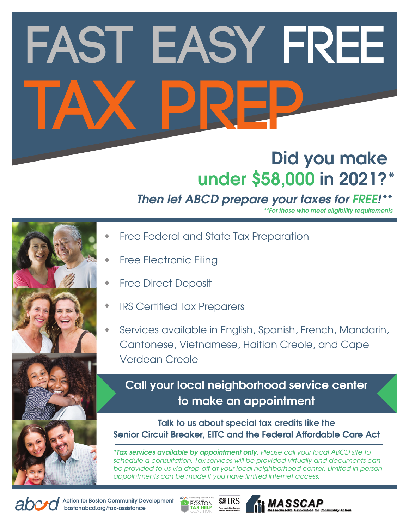# **Fast Easy FREE tax prep**

#### **Did you make under \$58,000 in 2021?\***

#### *Then let ABCD prepare your taxes for FREE!***\*\***

*\*\*For those who meet eligibility requirements*

- 
- 
- 
- Free Federal and State Tax Preparation
- Free Electronic Filing
- Free Direct Deposit
- IRS Certified Tax Preparers
- Services available in English, Spanish, French, Mandarin, Cantonese, Vietnamese, Haitian Creole, and Cape Verdean Creole

**Call your local neighborhood service center to make an appointment**

**Talk to us about special tax credits like the Senior Circuit Breaker, EITC and the Federal Affordable Care Act** 

*\*Tax services available by appointment only. Please call your local ABCD site to schedule a consultation. Tax services will be provided virtually and documents can* be provided to us via drop-off at your local neighborhood center. Limited in-person *appointments can be made if you have limited internet access.*



**Action for Boston Community Development bostonabcd.org/tax-assistance**